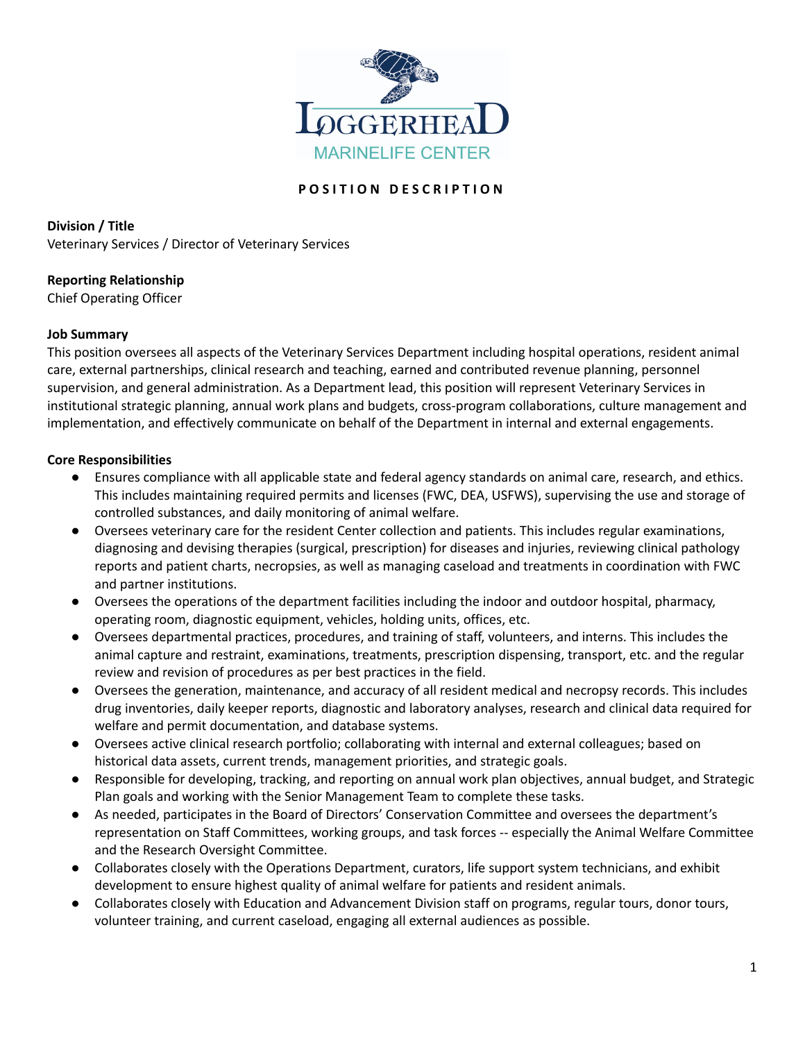

# **P O S I T I O N D E S C R I P T I O N**

**Division / Title** Veterinary Services / Director of Veterinary Services

# **Reporting Relationship**

Chief Operating Officer

# **Job Summary**

This position oversees all aspects of the Veterinary Services Department including hospital operations, resident animal care, external partnerships, clinical research and teaching, earned and contributed revenue planning, personnel supervision, and general administration. As a Department lead, this position will represent Veterinary Services in institutional strategic planning, annual work plans and budgets, cross-program collaborations, culture management and implementation, and effectively communicate on behalf of the Department in internal and external engagements.

# **Core Responsibilities**

- Ensures compliance with all applicable state and federal agency standards on animal care, research, and ethics. This includes maintaining required permits and licenses (FWC, DEA, USFWS), supervising the use and storage of controlled substances, and daily monitoring of animal welfare.
- Oversees veterinary care for the resident Center collection and patients. This includes regular examinations, diagnosing and devising therapies (surgical, prescription) for diseases and injuries, reviewing clinical pathology reports and patient charts, necropsies, as well as managing caseload and treatments in coordination with FWC and partner institutions.
- Oversees the operations of the department facilities including the indoor and outdoor hospital, pharmacy, operating room, diagnostic equipment, vehicles, holding units, offices, etc.
- Oversees departmental practices, procedures, and training of staff, volunteers, and interns. This includes the animal capture and restraint, examinations, treatments, prescription dispensing, transport, etc. and the regular review and revision of procedures as per best practices in the field.
- Oversees the generation, maintenance, and accuracy of all resident medical and necropsy records. This includes drug inventories, daily keeper reports, diagnostic and laboratory analyses, research and clinical data required for welfare and permit documentation, and database systems.
- Oversees active clinical research portfolio; collaborating with internal and external colleagues; based on historical data assets, current trends, management priorities, and strategic goals.
- Responsible for developing, tracking, and reporting on annual work plan objectives, annual budget, and Strategic Plan goals and working with the Senior Management Team to complete these tasks.
- As needed, participates in the Board of Directors' Conservation Committee and oversees the department's representation on Staff Committees, working groups, and task forces -- especially the Animal Welfare Committee and the Research Oversight Committee.
- Collaborates closely with the Operations Department, curators, life support system technicians, and exhibit development to ensure highest quality of animal welfare for patients and resident animals.
- Collaborates closely with Education and Advancement Division staff on programs, regular tours, donor tours, volunteer training, and current caseload, engaging all external audiences as possible.